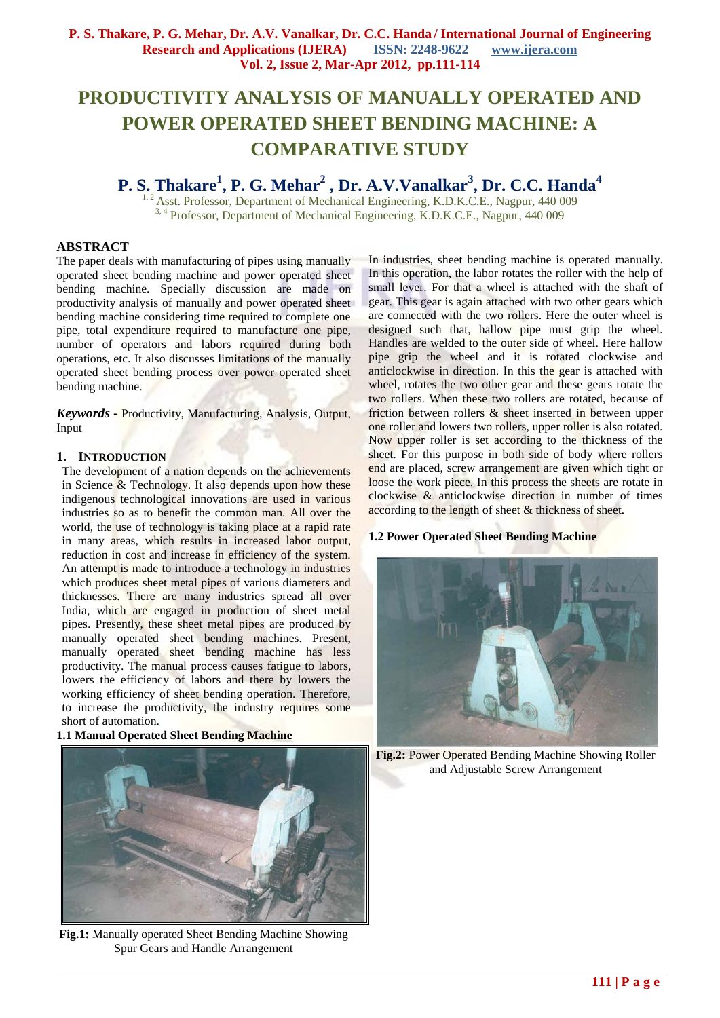## **PRODUCTIVITY ANALYSIS OF MANUALLY OPERATED AND POWER OPERATED SHEET BENDING MACHINE: A COMPARATIVE STUDY**

### **P. S. Thakare<sup>1</sup> , P. G. Mehar<sup>2</sup> , Dr. A.V.Vanalkar<sup>3</sup> , Dr. C.C. Handa<sup>4</sup>**

<sup>1, 2</sup> Asst. Professor, Department of Mechanical Engineering, K.D.K.C.E., Nagpur, 440 009 <sup>3, 4</sup> Professor, Department of Mechanical Engineering, K.D.K.C.E., Nagpur, 440 009

#### **ABSTRACT**

The paper deals with manufacturing of pipes using manually operated sheet bending machine and power operated sheet bending machine. Specially discussion are made on productivity analysis of manually and power operated sheet bending machine considering time required to complete one pipe, total expenditure required to manufacture one pipe, number of operators and labors required during both operations, etc. It also discusses limitations of the manually operated sheet bending process over power operated sheet bending machine.

*Keywords* **-** Productivity, Manufacturing, Analysis, Output, Input

#### **1. INTRODUCTION**

The development of a nation depends on the achievements in Science  $\&$  Technology. It also depends upon how these indigenous technological innovations are used in various industries so as to benefit the common man. All over the world, the use of technology is taking place at a rapid rate in many areas, which results in increased labor output, reduction in cost and increase in efficiency of the system. An attempt is made to introduce a technology in industries which produces sheet metal pipes of various diameters and thicknesses. There are many industries spread all over India, which are engaged in production of sheet metal pipes. Presently, these sheet metal pipes are produced by manually operated sheet bending machines. Present, manually operated sheet bending machine has less productivity. The manual process causes fatigue to labors, lowers the efficiency of labors and there by lowers the working efficiency of sheet bending operation. Therefore, to increase the productivity, the industry requires some short of automation.

#### **1.1 Manual Operated Sheet Bending Machine**



**Fig.1:** Manually operated Sheet Bending Machine Showing Spur Gears and Handle Arrangement

In industries, sheet bending machine is operated manually. In this operation, the labor rotates the roller with the help of small lever. For that a wheel is attached with the shaft of gear. This gear is again attached with two other gears which are connected with the two rollers. Here the outer wheel is designed such that, hallow pipe must grip the wheel. Handles are welded to the outer side of wheel. Here hallow pipe grip the wheel and it is rotated clockwise and anticlockwise in direction. In this the gear is attached with wheel, rotates the two other gear and these gears rotate the two rollers. When these two rollers are rotated, because of friction between rollers & sheet inserted in between upper one roller and lowers two rollers, upper roller is also rotated. Now upper roller is set according to the thickness of the sheet. For this purpose in both side of body where rollers end are placed, screw arrangement are given which tight or loose the work piece. In this process the sheets are rotate in clockwise & anticlockwise direction in number of times according to the length of sheet & thickness of sheet.

#### **1.2 Power Operated Sheet Bending Machine**



**Fig.2:** Power Operated Bending Machine Showing Roller and Adjustable Screw Arrangement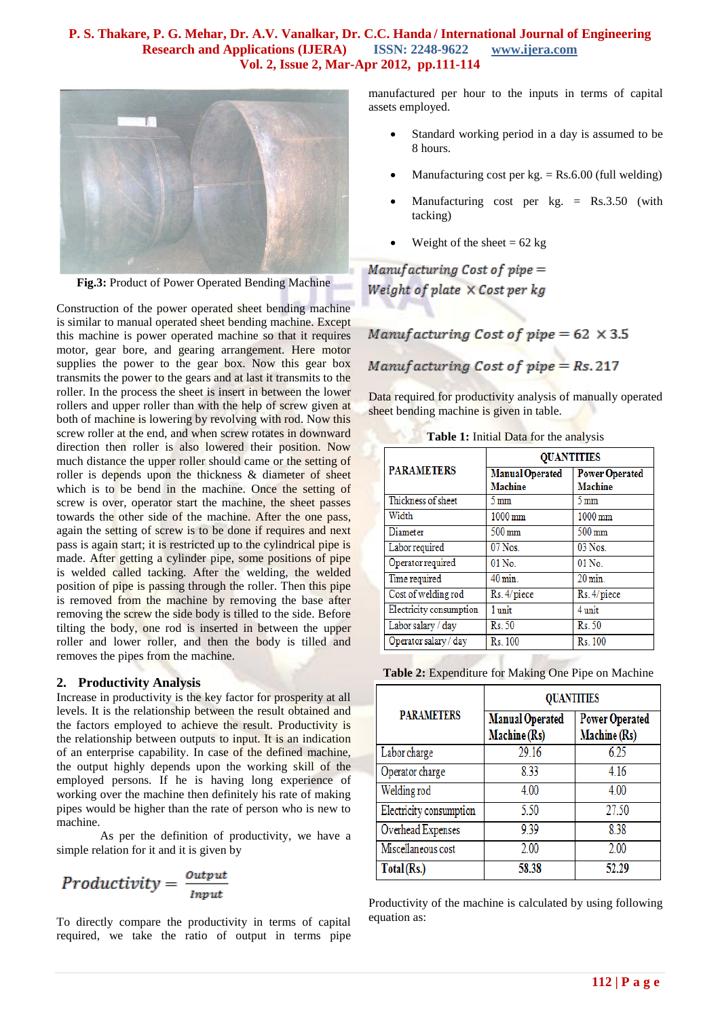#### **P. S. Thakare, P. G. Mehar, Dr. A.V. Vanalkar, Dr. C.C. Handa / International Journal of Engineering Research and Applications (IJERA) ISSN: 2248-9622 www.ijera.com Vol. 2, Issue 2, Mar-Apr 2012, pp.111-114**



**Fig.3:** Product of Power Operated Bending Machine

Construction of the power operated sheet bending machine is similar to manual operated sheet bending machine. Except this machine is power operated machine so that it requires motor, gear bore, and gearing arrangement. Here motor supplies the power to the gear box. Now this gear box transmits the power to the gears and at last it transmits to the roller. In the process the sheet is insert in between the lower rollers and upper roller than with the help of screw given at both of machine is lowering by revolving with rod. Now this screw roller at the end, and when screw rotates in downward direction then roller is also lowered their position. Now much distance the upper roller should came or the setting of roller is depends upon the thickness & diameter of sheet which is to be bend in the machine. Once the setting of screw is over, operator start the machine, the sheet passes towards the other side of the machine. After the one pass, again the setting of screw is to be done if requires and next pass is again start; it is restricted up to the cylindrical pipe is made. After getting a cylinder pipe, some positions of pipe is welded called tacking. After the welding, the welded position of pipe is passing through the roller. Then this pipe is removed from the machine by removing the base after removing the screw the side body is tilled to the side. Before tilting the body, one rod is inserted in between the upper roller and lower roller, and then the body is tilled and removes the pipes from the machine.

#### **2. Productivity Analysis**

Increase in productivity is the key factor for prosperity at all levels. It is the relationship between the result obtained and the factors employed to achieve the result. Productivity is the relationship between outputs to input. It is an indication of an enterprise capability. In case of the defined machine, the output highly depends upon the working skill of the employed persons. If he is having long experience of working over the machine then definitely his rate of making pipes would be higher than the rate of person who is new to machine.

As per the definition of productivity, we have a simple relation for it and it is given by

$$
Productivity = \frac{Output}{Input}
$$

To directly compare the productivity in terms of capital required, we take the ratio of output in terms pipe manufactured per hour to the inputs in terms of capital assets employed.

- Standard working period in a day is assumed to be 8 hours.
- Manufacturing cost per  $kg = Rs.6.00$  (full welding)
- Manufacturing cost per kg. = Rs.3.50 (with tacking)
- Weight of the sheet  $= 62$  kg

 $Mannifacting Cost of pipe =$ Weight of plate  $\times$  Cost per  $kg$ 

Manufacturing Cost of pipe =  $62 \times 3.5$ Manufacturing Cost of pipe = Rs. 217

Data required for productivity analysis of manually operated sheet bending machine is given in table.

| <b>PARAMETERS</b>       | <b>QUANTITIES</b>                        |                                         |
|-------------------------|------------------------------------------|-----------------------------------------|
|                         | <b>Manual Operated</b><br><b>Machine</b> | <b>Power Operated</b><br><b>Machine</b> |
| Thickness of sheet      | $5 \,\mathrm{mm}$                        | 5 mm                                    |
| Width                   | $1000 \,\mathrm{mm}$                     | $1000 \,\mathrm{mm}$                    |
| Diameter                | $500 \,\mathrm{mm}$                      | $500 \,\mathrm{mm}$                     |
| Labor required          | $07$ Nos.                                | 03 Nos.                                 |
| Operator required       | $01$ No.                                 | $01$ No.                                |
| Time required           | $40 \,\mathrm{min}$                      | $20 \,\mathrm{min}$                     |
| Cost of welding rod     | Rs. 4/piece                              | Rs. 4/piece                             |
| Electricity consumption | 1 unit                                   | 4 unit                                  |
| Labor salary / day      | Rs. 50                                   | Rs. 50                                  |
| Operator salary / day   | Rs. 100                                  | Rs. 100                                 |

**Table 1:** Initial Data for the analysis

**Table 2:** Expenditure for Making One Pipe on Machine

|                         | <b>QUANTITIES</b>                      |                                       |
|-------------------------|----------------------------------------|---------------------------------------|
| <b>PARAMETERS</b>       | <b>Manual Operated</b><br>Machine (Rs) | <b>Power Operated</b><br>Machine (Rs) |
| Labor charge            | 29.16                                  | 6.25                                  |
| Operator charge         | 8.33                                   | 4.16                                  |
| Welding rod             | 4.00                                   | 4.00                                  |
| Electricity consumption | 5.50                                   | 27.50                                 |
| Overhead Expenses       | 939                                    | 8.38                                  |
| Miscellaneous cost      | 2.00                                   | 2.00                                  |
| Total (Rs.)             | 58.38                                  | 52.29                                 |

Productivity of the machine is calculated by using following equation as: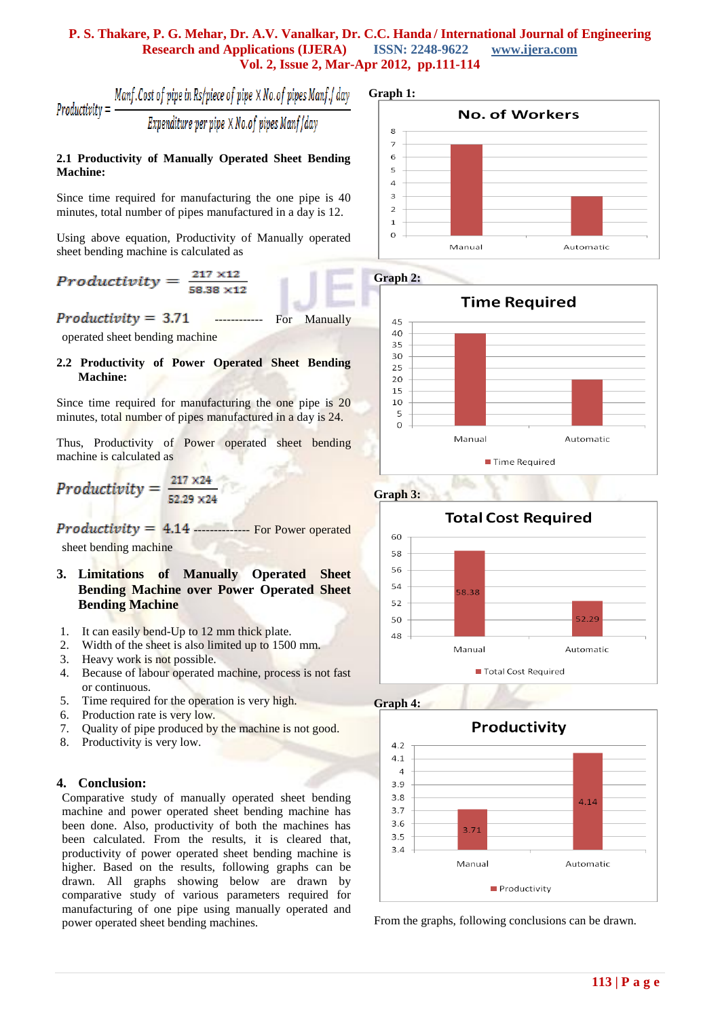#### **P. S. Thakare, P. G. Mehar, Dr. A.V. Vanalkar, Dr. C.C. Handa / International Journal of Engineering Research and Applications (IJERA) ISSN: 2248-9622 www.ijera.com Vol. 2, Issue 2, Mar-Apr 2012, pp.111-114**

$$
Productivity = \frac{Manf. Cost of pipe in Rs/piece of pipe \times No. of pipes Manf / day}{Expenditure per pipe \times No. of pipes Manf / day}
$$

#### **2.1 Productivity of Manually Operated Sheet Bending Machine:**

Since time required for manufacturing the one pipe is 40 minutes, total number of pipes manufactured in a day is 12.

Using above equation, Productivity of Manually operated sheet bending machine is calculated as

$$
Productivity = \frac{217 \times 11}{58.38 \times 11}
$$

 $Productivity = 3.71$  ------------ For Manually

operated sheet bending machine

**2.2 Productivity of Power Operated Sheet Bending Machine:**

Since time required for manufacturing the one pipe is 20 minutes, total number of pipes manufactured in a day is 24.

Thus, Productivity of Power operated sheet bending machine is calculated as

# Productivity =  $\frac{217 \times 24}{52.29 \times 24}$

 $Productivity = 4.14$  -------------- For Power operated sheet bending machine

- **3. Limitations of Manually Operated Sheet Bending Machine over Power Operated Sheet Bending Machine**
- 1. It can easily bend-Up to 12 mm thick plate.
- 2. Width of the sheet is also limited up to 1500 mm.
- 3. Heavy work is not possible.
- 4. Because of labour operated machine, process is not fast or continuous.
- 5. Time required for the operation is very high.
- 6. Production rate is very low.
- 7. Quality of pipe produced by the machine is not good.
- 8. Productivity is very low.

#### **4. Conclusion:**

Comparative study of manually operated sheet bending machine and power operated sheet bending machine has been done. Also, productivity of both the machines has been calculated. From the results, it is cleared that, productivity of power operated sheet bending machine is higher. Based on the results, following graphs can be drawn. All graphs showing below are drawn by comparative study of various parameters required for manufacturing of one pipe using manually operated and power operated sheet bending machines.

**Graph 1:**





**Graph 3:**







From the graphs, following conclusions can be drawn.